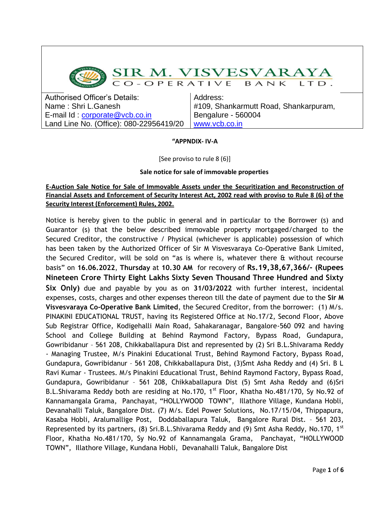

# SIR M. VISVESVARAYA

CO-OPERATIVE BANK  $LT$   $D$ .

Authorised Officer's Details: Name : Shri L.Ganesh E-mail Id : [corporate@vcb.co.in](mailto:corporate@vcb.co.in) Land Line No. (Office): 080-22956419/20

Address: #109, Shankarmutt Road, Shankarpuram, Bengalure - 560004 [www.vcb.co.in](http://www.vcb.co.in/)

#### **"APPNDIX- IV-A**

[See proviso to rule 8 (6)]

## **Sale notice for sale of immovable properties**

## **E-Auction Sale Notice for Sale of Immovable Assets under the Securitization and Reconstruction of Financial Assets and Enforcement of Security Interest Act, 2002 read with proviso to Rule 8 (6) of the Security Interest (Enforcement) Rules, 2002.**

Notice is hereby given to the public in general and in particular to the Borrower (s) and Guarantor (s) that the below described immovable property mortgaged/charged to the Secured Creditor, the constructive / Physical (whichever is applicable) possession of which has been taken by the Authorized Officer of Sir M Visvesvaraya Co-Operative Bank Limited, the Secured Creditor, will be sold on "as is where is, whatever there & without recourse basis" on **16.06.2022**, **Thursday** at **10.30 AM** for recovery of **Rs.19,38,67,366/- (Rupees Nineteen Crore Thirty Eight Lakhs Sixty Seven Thousand Three Hundred and Sixty Six Only)** due and payable by you as on **31/03/2022** with further interest, incidental expenses, costs, charges and other expenses thereon till the date of payment due to the **Sir M Visvesvaraya Co-Operative Bank Limited**, the Secured Creditor, from the borrower: (1) M/s. PINAKINI EDUCATIONAL TRUST, having its Registered Office at No.17/2, Second Floor, Above Sub Registrar Office, Kodigehalli Main Road, Sahakaranagar, Bangalore-560 092 and having School and College Building at Behind Raymond Factory, Bypass Road, Gundapura, Gowribidanur – 561 208, Chikkaballapura Dist and represented by (2) Sri B.L.Shivarama Reddy - Managing Trustee, M/s Pinakini Educational Trust, Behind Raymond Factory, Bypass Road, Gundapura, Gowribidanur – 561 208, Chikkaballapura Dist, (3)Smt Asha Reddy and (4) Sri. B L Ravi Kumar - Trustees. M/s Pinakini Educational Trust, Behind Raymond Factory, Bypass Road, Gundapura, Gowribidanur – 561 208, Chikkaballapura Dist (5) Smt Asha Reddy and (6)Sri B.L.Shivarama Reddy both are residing at No.170, 1<sup>st</sup> Floor, Khatha No.481/170, Sy No.92 of Kannamangala Grama, Panchayat, "HOLLYWOOD TOWN", Illathore Village, Kundana Hobli, Devanahalli Taluk, Bangalore Dist. (7) M/s. Edel Power Solutions, No.17/15/04, Thippapura, Kasaba Hobli, Aralumallige Post, Doddaballapura Taluk, Bangalore Rural Dist. – 561 203, Represented by its partners, (8) Sri.B.L.Shivarama Reddy and (9) Smt Asha Reddy, No.170, 1<sup>st</sup> Floor, Khatha No.481/170, Sy No.92 of Kannamangala Grama, Panchayat, "HOLLYWOOD TOWN", Illathore Village, Kundana Hobli, Devanahalli Taluk, Bangalore Dist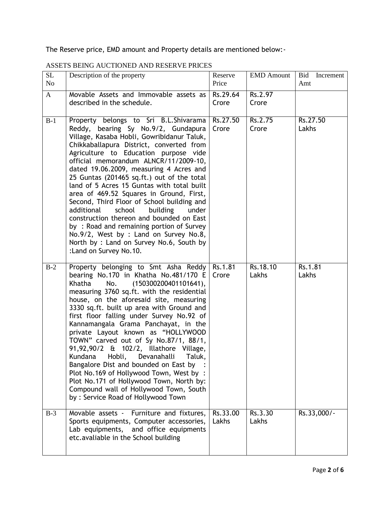The Reserve price, EMD amount and Property details are mentioned below:-

| SL<br>N <sub>o</sub> | Description of the property                                                                                                                                                                                                                                                                                                                                                                                                                                                                                                                                                                                                                                                                                                                    | Reserve<br>Price  | <b>EMD Amount</b> | Bid<br>Increment<br>Amt |
|----------------------|------------------------------------------------------------------------------------------------------------------------------------------------------------------------------------------------------------------------------------------------------------------------------------------------------------------------------------------------------------------------------------------------------------------------------------------------------------------------------------------------------------------------------------------------------------------------------------------------------------------------------------------------------------------------------------------------------------------------------------------------|-------------------|-------------------|-------------------------|
| $\mathbf{A}$         | Movable Assets and Immovable assets as<br>described in the schedule.                                                                                                                                                                                                                                                                                                                                                                                                                                                                                                                                                                                                                                                                           | Rs.29.64<br>Crore | Rs.2.97<br>Crore  |                         |
| $B-1$                | Property belongs to Sri B.L.Shivarama<br>Reddy, bearing Sy No.9/2, Gundapura<br>Village, Kasaba Hobli, Gowribidanur Taluk,<br>Chikkaballapura District, converted from<br>Agriculture to Education purpose vide<br>official memorandum ALNCR/11/2009-10,<br>dated 19.06.2009, measuring 4 Acres and<br>25 Guntas (201465 sq.ft.) out of the total<br>land of 5 Acres 15 Guntas with total built<br>area of 469.52 Squares in Ground, First,<br>Second, Third Floor of School building and<br>additional<br>school<br>building<br>under<br>construction thereon and bounded on East<br>by: Road and remaining portion of Survey<br>No.9/2, West by : Land on Survey No.8,<br>North by : Land on Survey No.6, South by<br>:Land on Survey No.10. | Rs.27.50<br>Crore | Rs.2.75<br>Crore  | Rs.27.50<br>Lakhs       |
| $B-2$                | Property belonging to Smt Asha Reddy<br>bearing No.170 in Khatha No.481/170 E<br>(150300200401101641),<br>No.<br>Khatha<br>measuring 3760 sq.ft. with the residential<br>house, on the aforesaid site, measuring<br>3330 sq.ft. built up area with Ground and<br>first floor falling under Survey No.92 of<br>Kannamangala Grama Panchayat, in the<br>private Layout known as "HOLLYWOOD<br>TOWN" carved out of Sy No.87/1, 88/1,<br>91,92,90/2 & 102/2, Illathore Village,<br>Kundana Hobli, Devanahalli Taluk,<br>Bangalore Dist and bounded on East by<br>Plot No.169 of Hollywood Town, West by:<br>Plot No.171 of Hollywood Town, North by:<br>Compound wall of Hollywood Town, South<br>by: Service Road of Hollywood Town               | Rs.1.81<br>Crore  | Rs.18.10<br>Lakhs | Rs.1.81<br>Lakhs        |
| $B-3$                | Movable assets - Furniture and fixtures,<br>Sports equipments, Computer accessories,<br>Lab equipments, and office equipments<br>etc.avaliable in the School building                                                                                                                                                                                                                                                                                                                                                                                                                                                                                                                                                                          | Rs.33.00<br>Lakhs | Rs.3.30<br>Lakhs  | Rs.33,000/-             |

# ASSETS BEING AUCTIONED AND RESERVE PRICES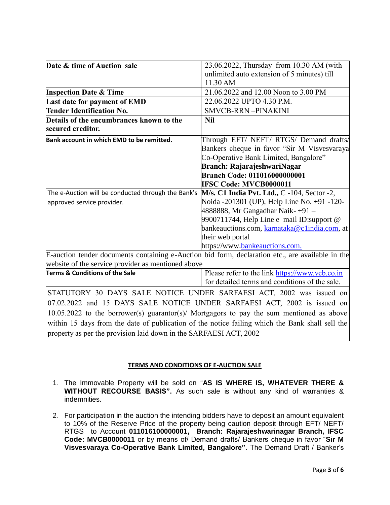| Date & time of Auction sale                                                                      | 23.06.2022, Thursday from 10.30 AM (with<br>unlimited auto extension of 5 minutes) till<br>11.30 AM |  |  |  |
|--------------------------------------------------------------------------------------------------|-----------------------------------------------------------------------------------------------------|--|--|--|
| <b>Inspection Date &amp; Time</b>                                                                | 21.06.2022 and 12.00 Noon to 3.00 PM                                                                |  |  |  |
| Last date for payment of EMD                                                                     | 22.06.2022 UPTO 4.30 P.M.                                                                           |  |  |  |
| <b>Tender Identification No.</b>                                                                 | <b>SMVCB-RRN-PINAKINI</b>                                                                           |  |  |  |
| Details of the encumbrances known to the                                                         | <b>Nil</b>                                                                                          |  |  |  |
| secured creditor.                                                                                |                                                                                                     |  |  |  |
| Bank account in which EMD to be remitted.                                                        | Through EFT/ NEFT/ RTGS/ Demand drafts/                                                             |  |  |  |
|                                                                                                  | Bankers cheque in favor "Sir M Visvesvaraya                                                         |  |  |  |
|                                                                                                  | Co-Operative Bank Limited, Bangalore"                                                               |  |  |  |
|                                                                                                  | Branch: RajarajeshwariNagar                                                                         |  |  |  |
|                                                                                                  | <b>Branch Code: 011016000000001</b>                                                                 |  |  |  |
|                                                                                                  | <b>IFSC Code: MVCB0000011</b>                                                                       |  |  |  |
| The e-Auction will be conducted through the Bank's                                               | M/s. C1 India Pvt. Ltd., C -104, Sector -2,                                                         |  |  |  |
| approved service provider.                                                                       | Noida -201301 (UP), Help Line No. +91 -120-                                                         |  |  |  |
|                                                                                                  | 4888888, Mr Gangadhar Naik- +91 –                                                                   |  |  |  |
|                                                                                                  | 9900711744, Help Line e-mail ID: support @                                                          |  |  |  |
|                                                                                                  | bankeauctions.com, karnataka@c1india.com, at                                                        |  |  |  |
|                                                                                                  | their web portal                                                                                    |  |  |  |
|                                                                                                  | https://www.bankeauctions.com.                                                                      |  |  |  |
| E-auction tender documents containing e-Auction bid form, declaration etc., are available in the |                                                                                                     |  |  |  |
| website of the service provider as mentioned above                                               |                                                                                                     |  |  |  |
| Terms & Conditions of the Sale                                                                   | Please refer to the link https://www.vcb.co.in                                                      |  |  |  |
|                                                                                                  | for detailed terms and conditions of the sale.                                                      |  |  |  |
| STATUTORY 30 DAYS SALE NOTICE UNDER SARFAESI ACT, 2002 was issued on                             |                                                                                                     |  |  |  |
| 07.02.2022 and 15 DAYS SALE NOTICE UNDER SARFAESI ACT, 2002 is issued on                         |                                                                                                     |  |  |  |
| 10.05.2022 to the borrower(s) guarantor(s)/ Mortgagors to pay the sum mentioned as above         |                                                                                                     |  |  |  |
| within 15 days from the date of publication of the notice failing which the Bank shall sell the  |                                                                                                     |  |  |  |
| property as per the provision laid down in the SARFAESI ACT, 2002                                |                                                                                                     |  |  |  |
|                                                                                                  |                                                                                                     |  |  |  |

#### **TERMS AND CONDITIONS OF E-AUCTION SALE**

- 1. The Immovable Property will be sold on "**AS IS WHERE IS, WHATEVER THERE & WITHOUT RECOURSE BASIS".** As such sale is without any kind of warranties & indemnities.
- 2. For participation in the auction the intending bidders have to deposit an amount equivalent to 10% of the Reserve Price of the property being caution deposit through EFT/ NEFT/ RTGS to Account **011016100000001, Branch: Rajarajeshwarinagar Branch, IFSC Code: MVCB0000011** or by means of/ Demand drafts/ Bankers cheque in favor "**Sir M Visvesvaraya Co-Operative Bank Limited, Bangalore"**. The Demand Draft / Banker's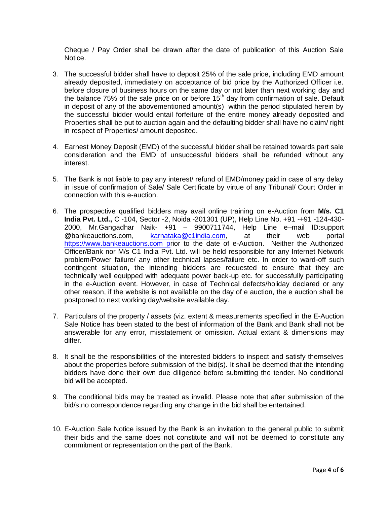Cheque / Pay Order shall be drawn after the date of publication of this Auction Sale Notice.

- 3. The successful bidder shall have to deposit 25% of the sale price, including EMD amount already deposited, immediately on acceptance of bid price by the Authorized Officer i.e. before closure of business hours on the same day or not later than next working day and the balance 75% of the sale price on or before 15<sup>th</sup> day from confirmation of sale. Default in deposit of any of the abovementioned amount(s) within the period stipulated herein by the successful bidder would entail forfeiture of the entire money already deposited and Properties shall be put to auction again and the defaulting bidder shall have no claim/ right in respect of Properties/ amount deposited.
- 4. Earnest Money Deposit (EMD) of the successful bidder shall be retained towards part sale consideration and the EMD of unsuccessful bidders shall be refunded without any interest.
- 5. The Bank is not liable to pay any interest/ refund of EMD/money paid in case of any delay in issue of confirmation of Sale/ Sale Certificate by virtue of any Tribunal/ Court Order in connection with this e-auction.
- 6. The prospective qualified bidders may avail online training on e-Auction from **M/s. C1 India Pvt. Ltd.,** C -104, Sector -2, Noida -201301 (UP), Help Line No. +91 -+91 -124-430- 2000, Mr.Gangadhar Naik- +91 – 9900711744, Help Line e–mail ID:support @bankeauctions.com, [karnataka@c1india.com,](mailto:karnataka@c1india.com) at their web portal [https://www.bankeauctions.com](https://www.bankeauctions.com/) prior to the date of e-Auction. Neither the Authorized Officer/Bank nor M/s C1 India Pvt. Ltd. will be held responsible for any Internet Network problem/Power failure/ any other technical lapses/failure etc. In order to ward-off such contingent situation, the intending bidders are requested to ensure that they are technically well equipped with adequate power back-up etc. for successfully participating in the e-Auction event. However, in case of Technical defects/holiday declared or any other reason, if the website is not available on the day of e auction, the e auction shall be postponed to next working day/website available day.
- 7. Particulars of the property / assets (viz. extent & measurements specified in the E-Auction Sale Notice has been stated to the best of information of the Bank and Bank shall not be answerable for any error, misstatement or omission. Actual extant & dimensions may differ.
- 8. It shall be the responsibilities of the interested bidders to inspect and satisfy themselves about the properties before submission of the bid(s). It shall be deemed that the intending bidders have done their own due diligence before submitting the tender. No conditional bid will be accepted.
- 9. The conditional bids may be treated as invalid. Please note that after submission of the bid/s,no correspondence regarding any change in the bid shall be entertained.
- 10. E-Auction Sale Notice issued by the Bank is an invitation to the general public to submit their bids and the same does not constitute and will not be deemed to constitute any commitment or representation on the part of the Bank.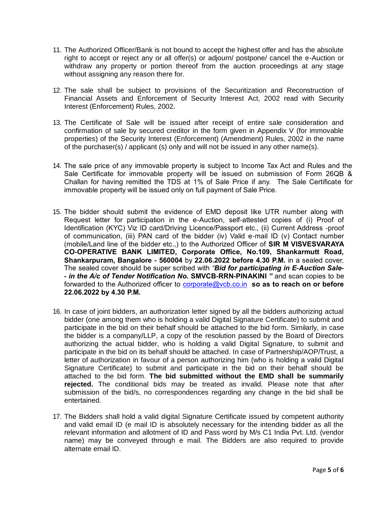- 11. The Authorized Officer/Bank is not bound to accept the highest offer and has the absolute right to accept or reject any or all offer(s) or adjourn/ postpone/ cancel the e-Auction or withdraw any property or portion thereof from the auction proceedings at any stage without assigning any reason there for.
- 12. The sale shall be subject to provisions of the Securitization and Reconstruction of Financial Assets and Enforcement of Security Interest Act, 2002 read with Security Interest (Enforcement) Rules, 2002.
- 13. The Certificate of Sale will be issued after receipt of entire sale consideration and confirmation of sale by secured creditor in the form given in Appendix V (for immovable properties) of the Security Interest (Enforcement) (Amendment) Rules, 2002 in the name of the purchaser(s) / applicant (s) only and will not be issued in any other name(s).
- 14. The sale price of any immovable property is subject to Income Tax Act and Rules and the Sale Certificate for immovable property will be issued on submission of Form 26QB & Challan for having remitted the TDS at 1% of Sale Price if any. The Sale Certificate for immovable property will be issued only on full payment of Sale Price.
- 15. The bidder should submit the evidence of EMD deposit like UTR number along with Request letter for participation in the e-Auction, self-attested copies of (i) Proof of Identification (KYC) Viz ID card/Driving Licence/Passport etc., (ii) Current Address -proof of communication, (iii) PAN card of the bidder (iv) Valid e-mail ID (v) Contact number (mobile/Land line of the bidder etc.,) to the Authorized Officer of **SIR M VISVESVARAYA CO-OPERATIVE BANK LIMITED, Corporate Office, No.109, Shankarmutt Road, Shankarpuram, Bangalore - 560004** by **22.06.2022 before 4.30 P.M.** in a sealed cover. The sealed cover should be super scribed with *"Bid for participating in E-Auction Sale- - in the A/c of Tender Notification No.* **SMVCB-RRN-PINAKINI** *"* and scan copies to be forwarded to the Authorized officer to [corporate@vcb.co.in](mailto:corporate@vcb.co.in) **so as to reach on or before 22.06.2022 by 4.30 P.M.**
- 16. In case of joint bidders, an authorization letter signed by all the bidders authorizing actual bidder (one among them who is holding a valid Digital Signature Certificate) to submit and participate in the bid on their behalf should be attached to the bid form. Similarly, in case the bidder is a company/LLP, a copy of the resolution passed by the Board of Directors authorizing the actual bidder, who is holding a valid Digital Signature, to submit and participate in the bid on its behalf should be attached. In case of Partnership/AOP/Trust, a letter of authorization in favour of a person authorizing him (who is holding a valid Digital Signature Certificate) to submit and participate in the bid on their behalf should be attached to the bid form. **The bid submitted without the EMD shall be summarily rejected.** The conditional bids may be treated as invalid. Please note that after submission of the bid/s, no correspondences regarding any change in the bid shall be entertained.
- 17. The Bidders shall hold a valid digital Signature Certificate issued by competent authority and valid email ID (e mail ID is absolutely necessary for the intending bidder as all the relevant information and allotment of ID and Pass word by M/s C1 India Pvt. Ltd. (vendor name) may be conveyed through e mail. The Bidders are also required to provide alternate email ID.